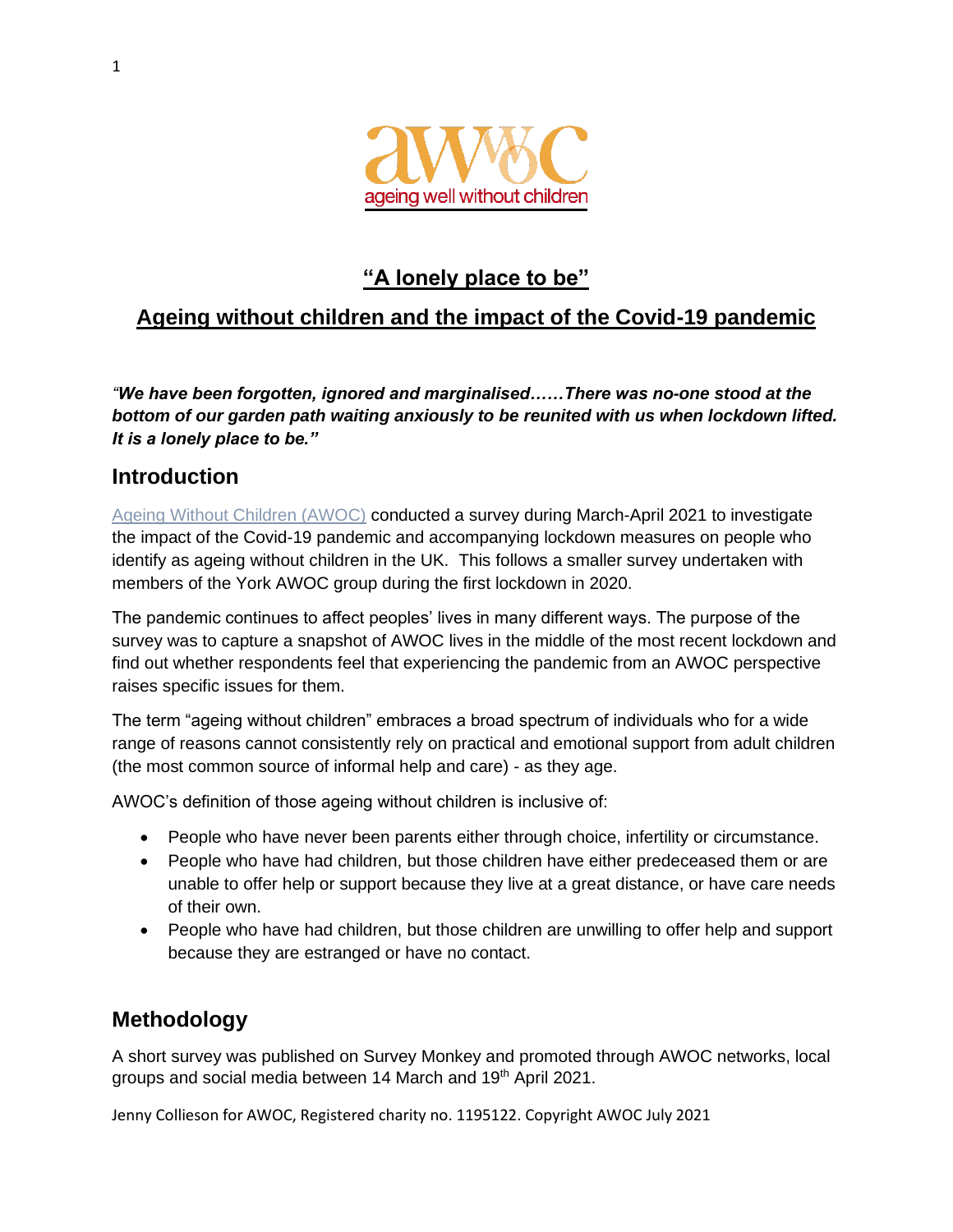

# **"A lonely place to be"**

# **Ageing without children and the impact of the Covid-19 pandemic**

*"We have been forgotten, ignored and marginalised……There was no-one stood at the bottom of our garden path waiting anxiously to be reunited with us when lockdown lifted. It is a lonely place to be."* 

## **Introduction**

[Ageing Without Children \(AWOC\)](https://www.awwoc.org/resources) conducted a survey during March-April 2021 to investigate the impact of the Covid-19 pandemic and accompanying lockdown measures on people who identify as ageing without children in the UK. This follows a smaller survey undertaken with members of the York AWOC group during the first lockdown in 2020.

The pandemic continues to affect peoples' lives in many different ways. The purpose of the survey was to capture a snapshot of AWOC lives in the middle of the most recent lockdown and find out whether respondents feel that experiencing the pandemic from an AWOC perspective raises specific issues for them.

The term "ageing without children" embraces a broad spectrum of individuals who for a wide range of reasons cannot consistently rely on practical and emotional support from adult children (the most common source of informal help and care) - as they age.

AWOC's definition of those ageing without children is inclusive of:

- People who have never been parents either through choice, infertility or circumstance.
- People who have had children, but those children have either predeceased them or are unable to offer help or support because they live at a great distance, or have care needs of their own.
- People who have had children, but those children are unwilling to offer help and support because they are estranged or have no contact.

## **Methodology**

A short survey was published on Survey Monkey and promoted through AWOC networks, local groups and social media between 14 March and 19<sup>th</sup> April 2021.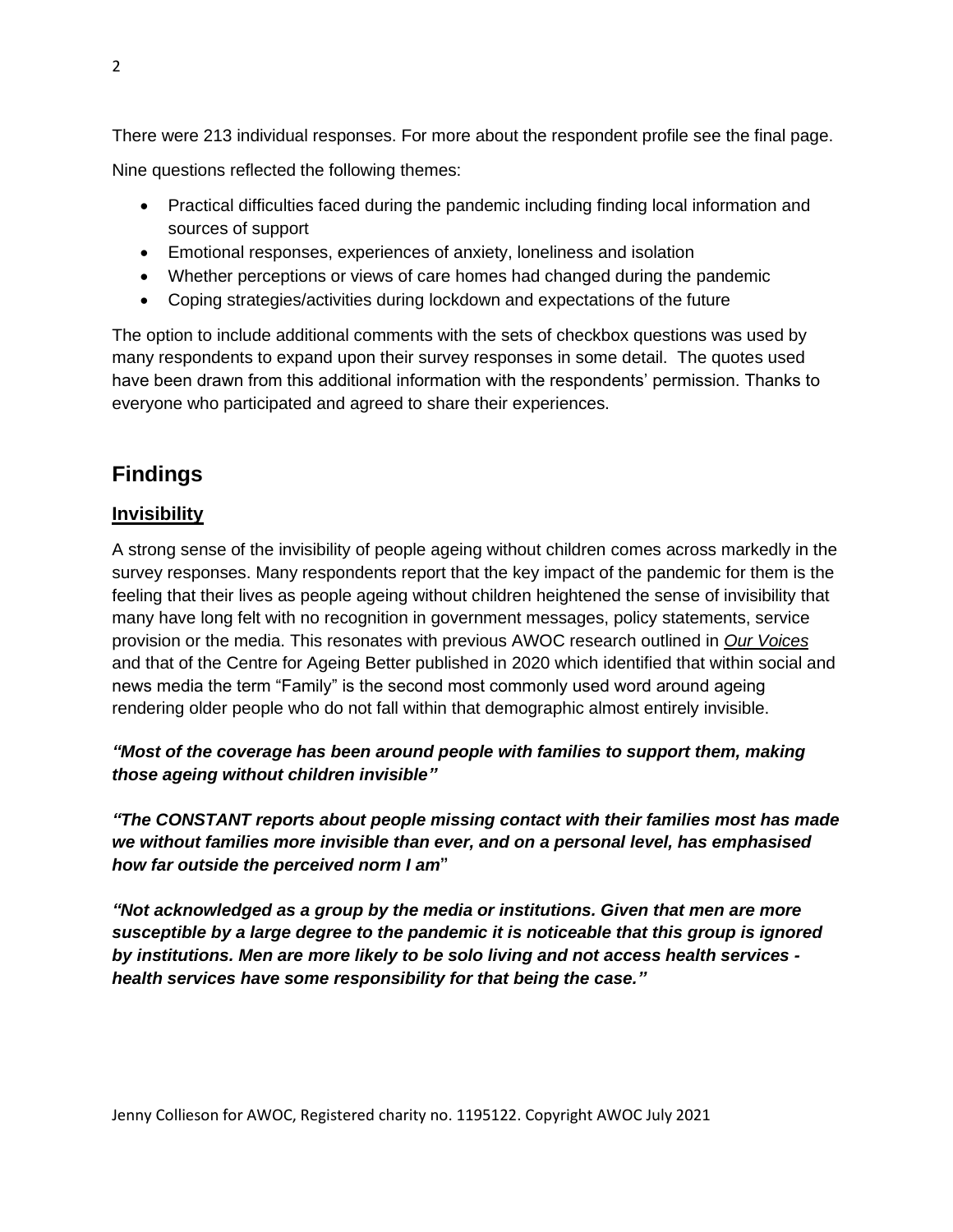There were 213 individual responses. For more about the respondent profile see the final page. Nine questions reflected the following themes:

- Practical difficulties faced during the pandemic including finding local information and sources of support
- Emotional responses, experiences of anxiety, loneliness and isolation
- Whether perceptions or views of care homes had changed during the pandemic
- Coping strategies/activities during lockdown and expectations of the future

The option to include additional comments with the sets of checkbox questions was used by many respondents to expand upon their survey responses in some detail. The quotes used have been drawn from this additional information with the respondents' permission. Thanks to everyone who participated and agreed to share their experiences.

# **Findings**

### **Invisibility**

A strong sense of the invisibility of people ageing without children comes across markedly in the survey responses. Many respondents report that the key impact of the pandemic for them is the feeling that their lives as people ageing without children heightened the sense of invisibility that many have long felt with no recognition in government messages, policy statements, service provision or the media. This resonates with previous AWOC research outlined in *[Our Voices](https://www.awwoc.org/resources)* and that of the Centre for Ageing Better published in 2020 which identified that within social and news media the term "Family" is the second most commonly used word around ageing rendering older people who do not fall within that demographic almost entirely invisible.

*"Most of the coverage has been around people with families to support them, making those ageing without children invisible"*

*"The CONSTANT reports about people missing contact with their families most has made we without families more invisible than ever, and on a personal level, has emphasised how far outside the perceived norm I am***"**

*"Not acknowledged as a group by the media or institutions. Given that men are more susceptible by a large degree to the pandemic it is noticeable that this group is ignored by institutions. Men are more likely to be solo living and not access health services health services have some responsibility for that being the case."*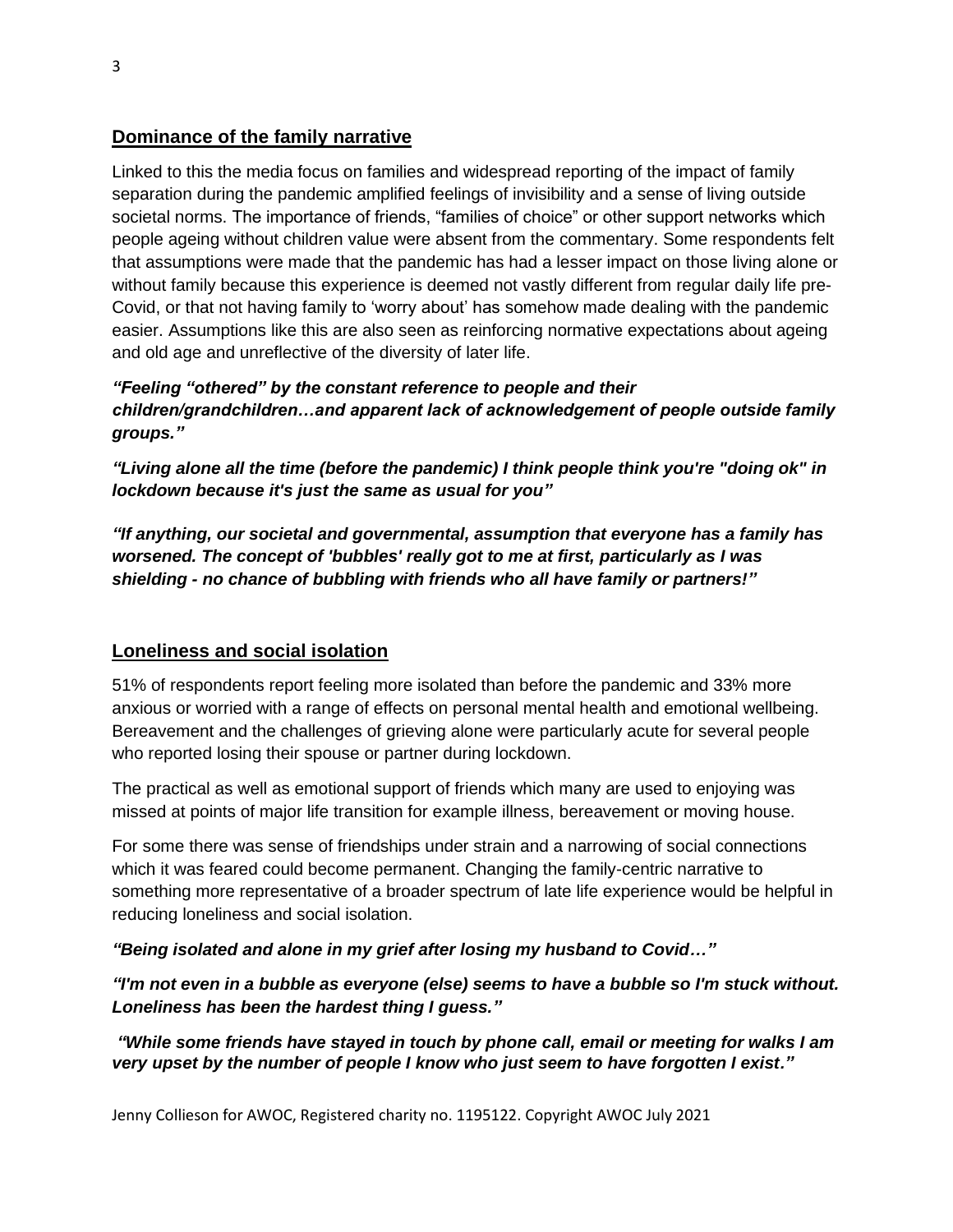#### **Dominance of the family narrative**

Linked to this the media focus on families and widespread reporting of the impact of family separation during the pandemic amplified feelings of invisibility and a sense of living outside societal norms. The importance of friends, "families of choice" or other support networks which people ageing without children value were absent from the commentary. Some respondents felt that assumptions were made that the pandemic has had a lesser impact on those living alone or without family because this experience is deemed not vastly different from regular daily life pre-Covid, or that not having family to 'worry about' has somehow made dealing with the pandemic easier. Assumptions like this are also seen as reinforcing normative expectations about ageing and old age and unreflective of the diversity of later life.

*"Feeling "othered" by the constant reference to people and their children/grandchildren…and apparent lack of acknowledgement of people outside family groups."*

*"Living alone all the time (before the pandemic) I think people think you're "doing ok" in lockdown because it's just the same as usual for you"*

*"If anything, our societal and governmental, assumption that everyone has a family has worsened. The concept of 'bubbles' really got to me at first, particularly as I was shielding - no chance of bubbling with friends who all have family or partners!"*

#### **Loneliness and social isolation**

51% of respondents report feeling more isolated than before the pandemic and 33% more anxious or worried with a range of effects on personal mental health and emotional wellbeing. Bereavement and the challenges of grieving alone were particularly acute for several people who reported losing their spouse or partner during lockdown.

The practical as well as emotional support of friends which many are used to enjoying was missed at points of major life transition for example illness, bereavement or moving house.

For some there was sense of friendships under strain and a narrowing of social connections which it was feared could become permanent. Changing the family-centric narrative to something more representative of a broader spectrum of late life experience would be helpful in reducing loneliness and social isolation.

*"Being isolated and alone in my grief after losing my husband to Covid…"*

*"I'm not even in a bubble as everyone (else) seems to have a bubble so I'm stuck without. Loneliness has been the hardest thing I guess."*

*"While some friends have stayed in touch by phone call, email or meeting for walks I am very upset by the number of people I know who just seem to have forgotten I exist."*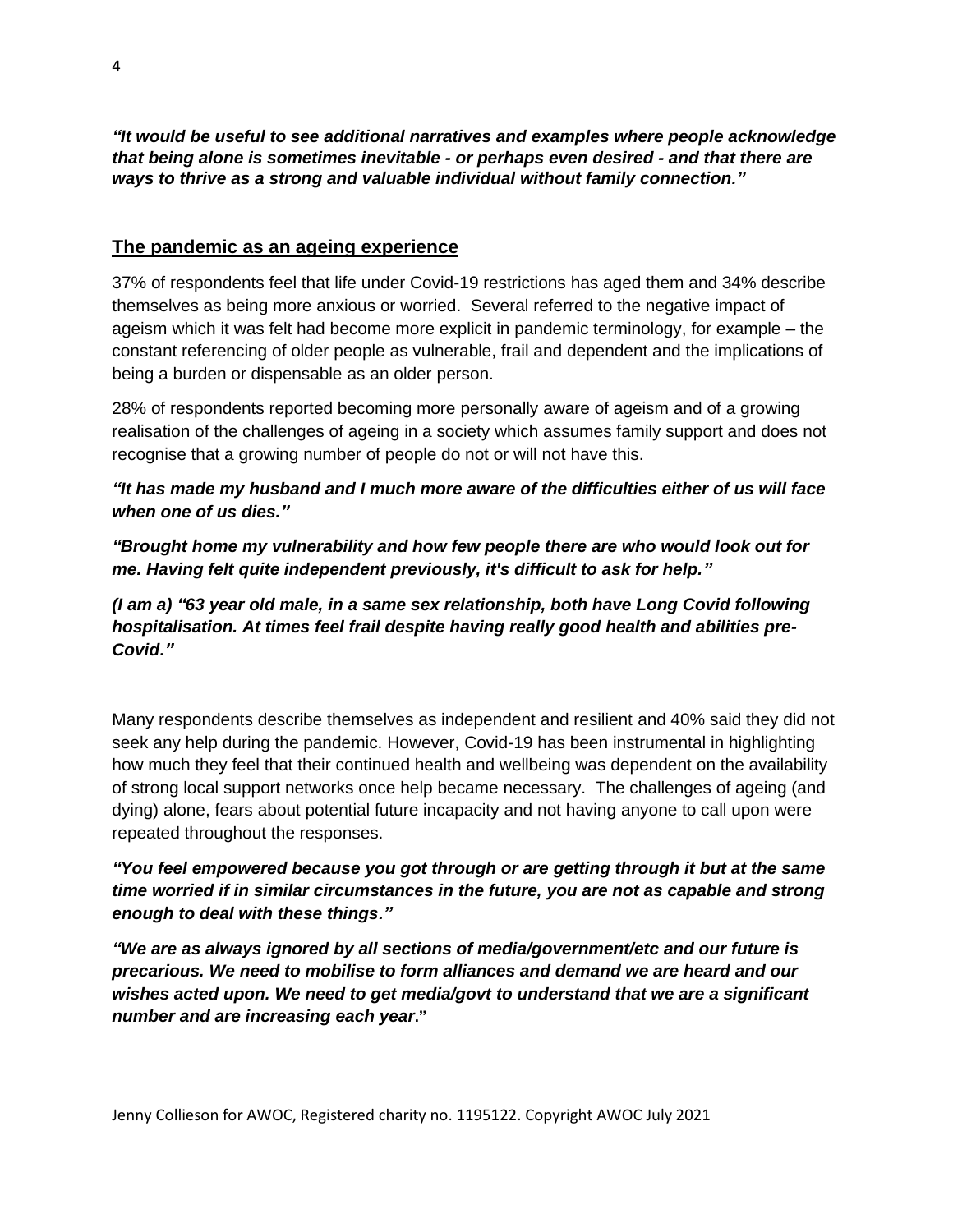*"It would be useful to see additional narratives and examples where people acknowledge that being alone is sometimes inevitable - or perhaps even desired - and that there are ways to thrive as a strong and valuable individual without family connection."*

#### **The pandemic as an ageing experience**

37% of respondents feel that life under Covid-19 restrictions has aged them and 34% describe themselves as being more anxious or worried. Several referred to the negative impact of ageism which it was felt had become more explicit in pandemic terminology, for example – the constant referencing of older people as vulnerable, frail and dependent and the implications of being a burden or dispensable as an older person.

28% of respondents reported becoming more personally aware of ageism and of a growing realisation of the challenges of ageing in a society which assumes family support and does not recognise that a growing number of people do not or will not have this.

*"It has made my husband and I much more aware of the difficulties either of us will face when one of us dies."*

*"Brought home my vulnerability and how few people there are who would look out for me. Having felt quite independent previously, it's difficult to ask for help."*

*(I am a) "63 year old male, in a same sex relationship, both have Long Covid following hospitalisation. At times feel frail despite having really good health and abilities pre-Covid."*

Many respondents describe themselves as independent and resilient and 40% said they did not seek any help during the pandemic. However, Covid-19 has been instrumental in highlighting how much they feel that their continued health and wellbeing was dependent on the availability of strong local support networks once help became necessary. The challenges of ageing (and dying) alone, fears about potential future incapacity and not having anyone to call upon were repeated throughout the responses.

*"You feel empowered because you got through or are getting through it but at the same time worried if in similar circumstances in the future, you are not as capable and strong enough to deal with these things."*

*"We are as always ignored by all sections of media/government/etc and our future is precarious. We need to mobilise to form alliances and demand we are heard and our wishes acted upon. We need to get media/govt to understand that we are a significant number and are increasing each year***."**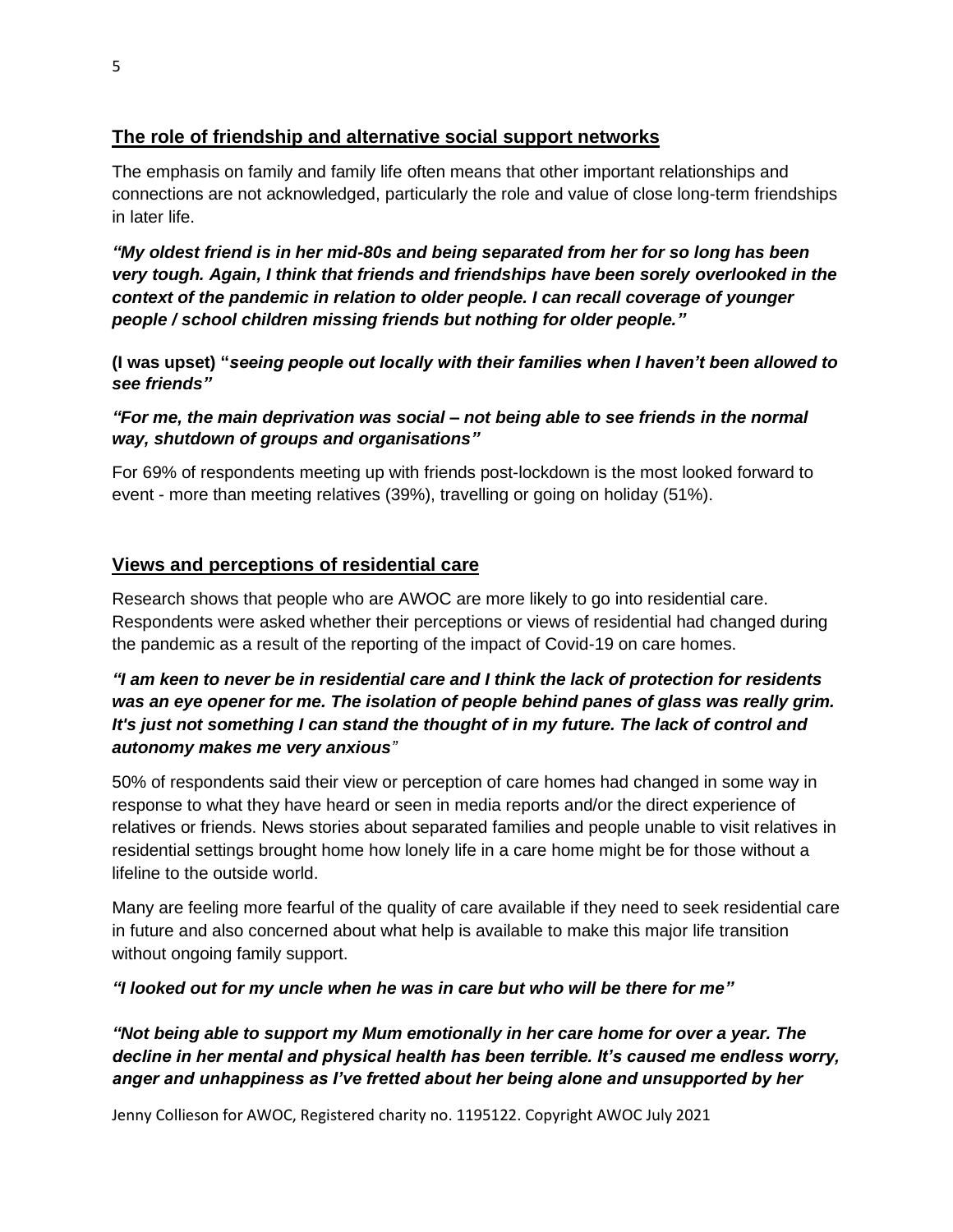### **The role of friendship and alternative social support networks**

The emphasis on family and family life often means that other important relationships and connections are not acknowledged, particularly the role and value of close long-term friendships in later life.

*"My oldest friend is in her mid-80s and being separated from her for so long has been very tough. Again, I think that friends and friendships have been sorely overlooked in the context of the pandemic in relation to older people. I can recall coverage of younger people / school children missing friends but nothing for older people."*

**(I was upset) "***seeing people out locally with their families when I haven't been allowed to see friends"*

*"For me, the main deprivation was social – not being able to see friends in the normal way, shutdown of groups and organisations"*

For 69% of respondents meeting up with friends post-lockdown is the most looked forward to event - more than meeting relatives (39%), travelling or going on holiday (51%).

#### **Views and perceptions of residential care**

Research shows that people who are AWOC are more likely to go into residential care. Respondents were asked whether their perceptions or views of residential had changed during the pandemic as a result of the reporting of the impact of Covid-19 on care homes.

#### *"I am keen to never be in residential care and I think the lack of protection for residents was an eye opener for me. The isolation of people behind panes of glass was really grim. It's just not something I can stand the thought of in my future. The lack of control and autonomy makes me very anxious"*

50% of respondents said their view or perception of care homes had changed in some way in response to what they have heard or seen in media reports and/or the direct experience of relatives or friends. News stories about separated families and people unable to visit relatives in residential settings brought home how lonely life in a care home might be for those without a lifeline to the outside world.

Many are feeling more fearful of the quality of care available if they need to seek residential care in future and also concerned about what help is available to make this major life transition without ongoing family support.

*"I looked out for my uncle when he was in care but who will be there for me"*

*"Not being able to support my Mum emotionally in her care home for over a year. The decline in her mental and physical health has been terrible. It's caused me endless worry, anger and unhappiness as I've fretted about her being alone and unsupported by her*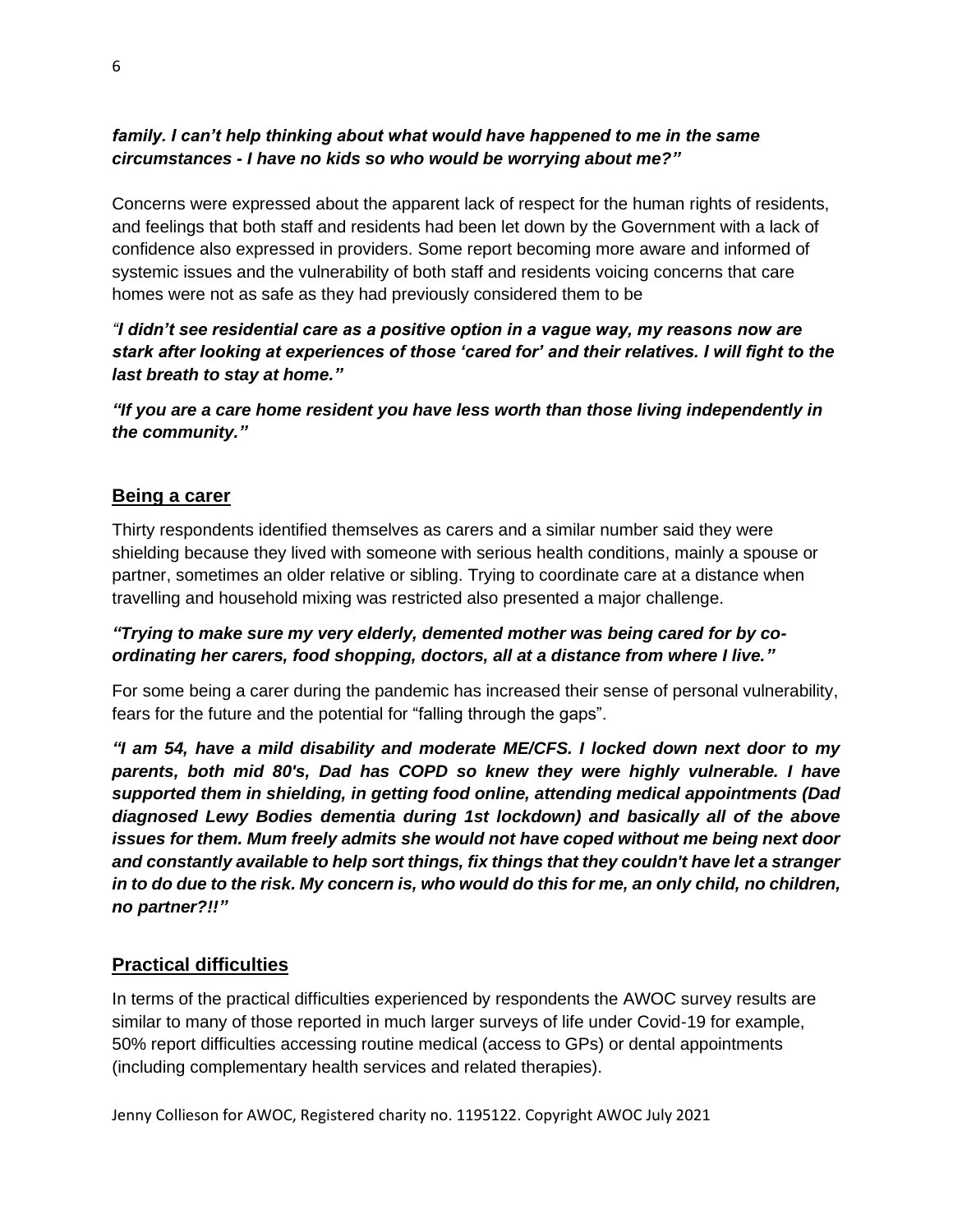#### *family. I can't help thinking about what would have happened to me in the same circumstances - I have no kids so who would be worrying about me?"*

Concerns were expressed about the apparent lack of respect for the human rights of residents, and feelings that both staff and residents had been let down by the Government with a lack of confidence also expressed in providers. Some report becoming more aware and informed of systemic issues and the vulnerability of both staff and residents voicing concerns that care homes were not as safe as they had previously considered them to be

*"I didn't see residential care as a positive option in a vague way, my reasons now are stark after looking at experiences of those 'cared for' and their relatives. I will fight to the last breath to stay at home."*

*"If you are a care home resident you have less worth than those living independently in the community."*

#### **Being a carer**

Thirty respondents identified themselves as carers and a similar number said they were shielding because they lived with someone with serious health conditions, mainly a spouse or partner, sometimes an older relative or sibling. Trying to coordinate care at a distance when travelling and household mixing was restricted also presented a major challenge.

#### *"Trying to make sure my very elderly, demented mother was being cared for by coordinating her carers, food shopping, doctors, all at a distance from where I live."*

For some being a carer during the pandemic has increased their sense of personal vulnerability, fears for the future and the potential for "falling through the gaps".

*"I am 54, have a mild disability and moderate ME/CFS. I locked down next door to my parents, both mid 80's, Dad has COPD so knew they were highly vulnerable. I have supported them in shielding, in getting food online, attending medical appointments (Dad diagnosed Lewy Bodies dementia during 1st lockdown) and basically all of the above issues for them. Mum freely admits she would not have coped without me being next door and constantly available to help sort things, fix things that they couldn't have let a stranger in to do due to the risk. My concern is, who would do this for me, an only child, no children, no partner?!!"*

#### **Practical difficulties**

In terms of the practical difficulties experienced by respondents the AWOC survey results are similar to many of those reported in much larger surveys of life under Covid-19 for example, 50% report difficulties accessing routine medical (access to GPs) or dental appointments (including complementary health services and related therapies).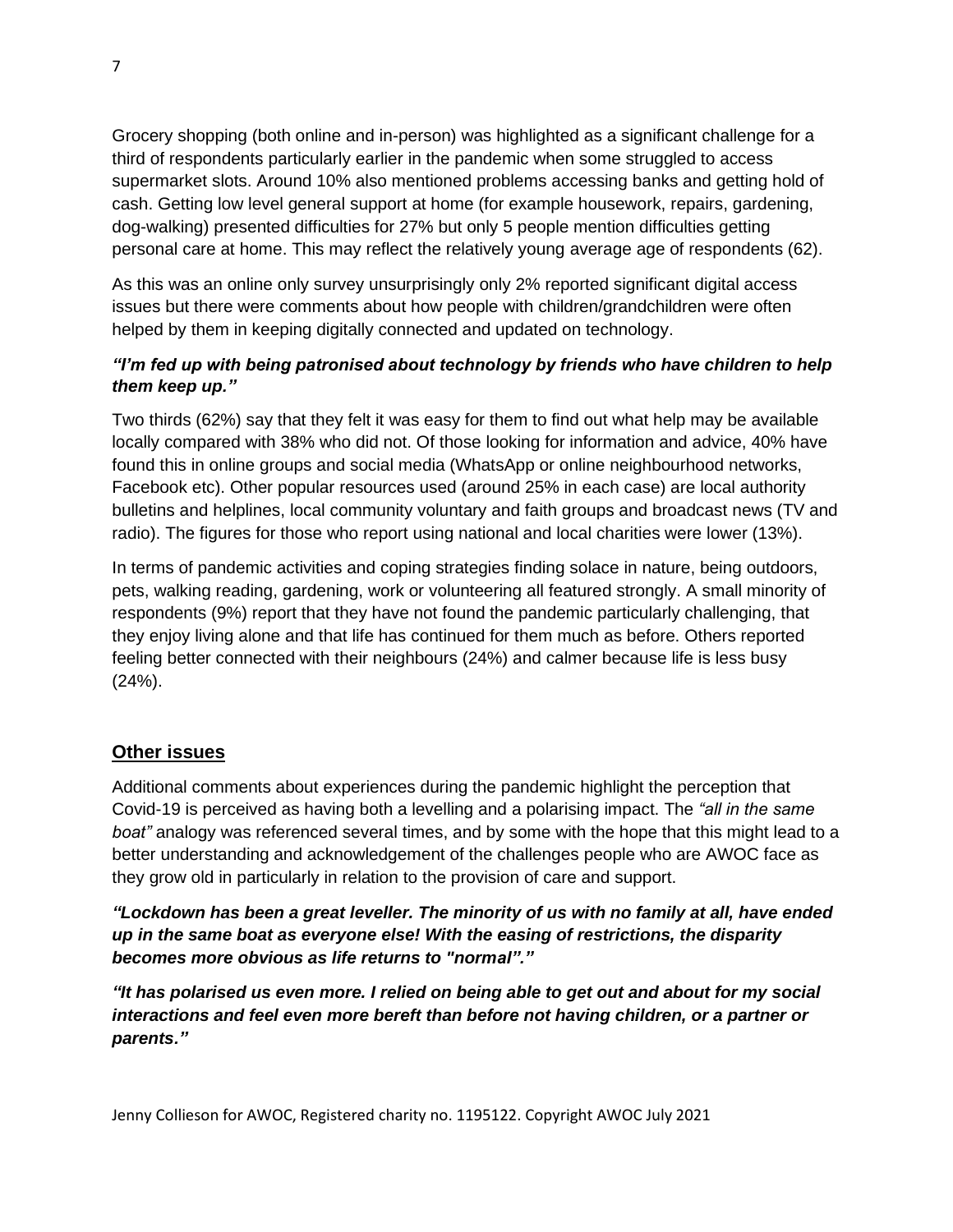Grocery shopping (both online and in-person) was highlighted as a significant challenge for a third of respondents particularly earlier in the pandemic when some struggled to access supermarket slots. Around 10% also mentioned problems accessing banks and getting hold of cash. Getting low level general support at home (for example housework, repairs, gardening, dog-walking) presented difficulties for 27% but only 5 people mention difficulties getting personal care at home. This may reflect the relatively young average age of respondents (62).

As this was an online only survey unsurprisingly only 2% reported significant digital access issues but there were comments about how people with children/grandchildren were often helped by them in keeping digitally connected and updated on technology.

#### *"I'm fed up with being patronised about technology by friends who have children to help them keep up."*

Two thirds (62%) say that they felt it was easy for them to find out what help may be available locally compared with 38% who did not. Of those looking for information and advice, 40% have found this in online groups and social media (WhatsApp or online neighbourhood networks, Facebook etc). Other popular resources used (around 25% in each case) are local authority bulletins and helplines, local community voluntary and faith groups and broadcast news (TV and radio). The figures for those who report using national and local charities were lower (13%).

In terms of pandemic activities and coping strategies finding solace in nature, being outdoors, pets, walking reading, gardening, work or volunteering all featured strongly. A small minority of respondents (9%) report that they have not found the pandemic particularly challenging, that they enjoy living alone and that life has continued for them much as before. Others reported feeling better connected with their neighbours (24%) and calmer because life is less busy  $(24%)$ .

#### **Other issues**

Additional comments about experiences during the pandemic highlight the perception that Covid-19 is perceived as having both a levelling and a polarising impact. The *"all in the same boat"* analogy was referenced several times, and by some with the hope that this might lead to a better understanding and acknowledgement of the challenges people who are AWOC face as they grow old in particularly in relation to the provision of care and support.

*"Lockdown has been a great leveller. The minority of us with no family at all, have ended up in the same boat as everyone else! With the easing of restrictions, the disparity becomes more obvious as life returns to "normal"."*

*"It has polarised us even more. I relied on being able to get out and about for my social interactions and feel even more bereft than before not having children, or a partner or parents."*